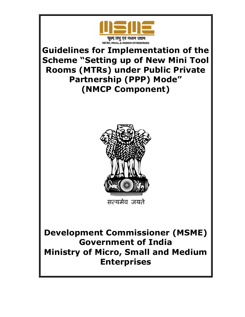

Guidelines for Implementation of the Scheme "Setting up of New Mini Tool Rooms (MTRs) under Public Private Partnership (PPP) Mode" (NMCP Component)



Development Commissioner (MSME) Government of India Ministry of Micro, Small and Medium Enterprises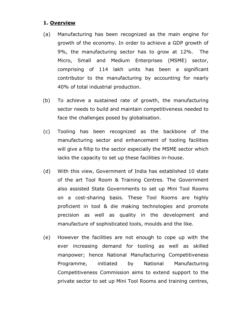## 1. Overview

- (a) Manufacturing has been recognized as the main engine for growth of the economy. In order to achieve a GDP growth of 9%, the manufacturing sector has to grow at 12%. The Micro, Small and Medium Enterprises (MSME) sector, comprising of 114 lakh units has been a significant contributor to the manufacturing by accounting for nearly 40% of total industrial production.
- (b) To achieve a sustained rate of growth, the manufacturing sector needs to build and maintain competitiveness needed to face the challenges posed by globalisation.
- (c) Tooling has been recognized as the backbone of the manufacturing sector and enhancement of tooling facilities will give a fillip to the sector especially the MSME sector which lacks the capacity to set up these facilities in-house.
- (d) With this view, Government of India has established 10 state of the art Tool Room & Training Centres. The Government also assisted State Governments to set up Mini Tool Rooms on a cost-sharing basis. These Tool Rooms are highly proficient in tool & die making technologies and promote precision as well as quality in the development and manufacture of sophisticated tools, moulds and the like.
- (e) However the facilities are not enough to cope up with the ever increasing demand for tooling as well as skilled manpower; hence National Manufacturing Competitiveness Programme, initiated by National Manufacturing Competitiveness Commission aims to extend support to the private sector to set up Mini Tool Rooms and training centres,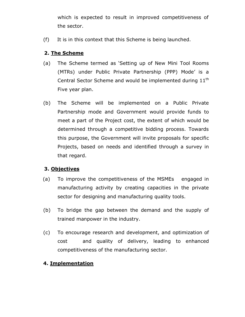which is expected to result in improved competitiveness of the sector.

(f) It is in this context that this Scheme is being launched.

## 2. The Scheme

- (a) The Scheme termed as 'Setting up of New Mini Tool Rooms (MTRs) under Public Private Partnership (PPP) Mode' is a Central Sector Scheme and would be implemented during 11<sup>th</sup> Five year plan.
- (b) The Scheme will be implemented on a Public Private Partnership mode and Government would provide funds to meet a part of the Project cost, the extent of which would be determined through a competitive bidding process. Towards this purpose, the Government will invite proposals for specific Projects, based on needs and identified through a survey in that regard.

## 3. Objectives

- (a) To improve the competitiveness of the MSMEs engaged in manufacturing activity by creating capacities in the private sector for designing and manufacturing quality tools.
- (b) To bridge the gap between the demand and the supply of trained manpower in the industry.
- (c) To encourage research and development, and optimization of cost and quality of delivery, leading to enhanced competitiveness of the manufacturing sector.

## 4. Implementation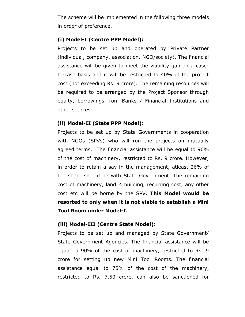The scheme will be implemented in the following three models in order of preference.

## (i) Model-I (Centre PPP Model):

Projects to be set up and operated by Private Partner (individual, company, association, NGO/society). The financial assistance will be given to meet the viability gap on a caseto-case basis and it will be restricted to 40% of the project cost (not exceeding Rs. 9 crore). The remaining resources will be required to be arranged by the Project Sponsor through equity, borrowings from Banks / Financial Institutions and other sources.

## (ii) Model-II (State PPP Model):

Projects to be set up by State Governments in cooperation with NGOs (SPVs) who will run the projects on mutually agreed terms. The financial assistance will be equal to 90% of the cost of machinery, restricted to Rs. 9 crore. However, in order to retain a say in the management, atleast 26% of the share should be with State Government. The remaining cost of machinery, land & building, recurring cost, any other cost etc will be borne by the SPV. This Model would be resorted to only when it is not viable to establish a Mini Tool Room under Model-I.

## (iii) Model-III (Centre State Model):

Projects to be set up and managed by State Government/ State Government Agencies. The financial assistance will be equal to 90% of the cost of machinery, restricted to Rs. 9 crore for setting up new Mini Tool Rooms. The financial assistance equal to 75% of the cost of the machinery, restricted to Rs. 7.50 crore, can also be sanctioned for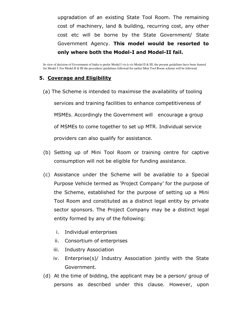upgradation of an existing State Tool Room. The remaining cost of machinery, land & building, recurring cost, any other cost etc will be borne by the State Government/ State Government Agency. This model would be resorted to only where both the Model-I and Model-II fail.

In view of decision of Government of India to prefer Model I vis-à-vis Model II & III, the present guidelines have been framed for Model I. For Model II & III the procedure/ guidelines followed for earlier Mini Tool Room scheme will be followed.

## 5. Coverage and Eligibility

- (a) The Scheme is intended to maximise the availability of tooling services and training facilities to enhance competitiveness of MSMEs. Accordingly the Government will encourage a group of MSMEs to come together to set up MTR. Individual service providers can also qualify for assistance.
- (b) Setting up of Mini Tool Room or training centre for captive consumption will not be eligible for funding assistance.
- (c) Assistance under the Scheme will be available to a Special Purpose Vehicle termed as 'Project Company' for the purpose of the Scheme, established for the purpose of setting up a Mini Tool Room and constituted as a distinct legal entity by private sector sponsors. The Project Company may be a distinct legal entity formed by any of the following:
	- i. Individual enterprises
	- ii. Consortium of enterprises
	- iii. Industry Association
	- iv. Enterprise(s)/ Industry Association jointly with the State Government.
- (d) At the time of bidding, the applicant may be a person/ group of persons as described under this clause. However, upon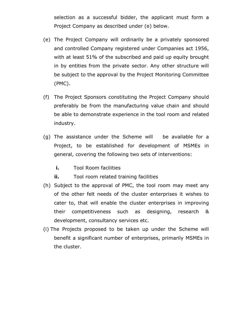selection as a successful bidder, the applicant must form a Project Company as described under (e) below.

- (e) The Project Company will ordinarily be a privately sponsored and controlled Company registered under Companies act 1956, with at least 51% of the subscribed and paid up equity brought in by entities from the private sector. Any other structure will be subject to the approval by the Project Monitoring Committee (PMC).
- (f) The Project Sponsors constituting the Project Company should preferably be from the manufacturing value chain and should be able to demonstrate experience in the tool room and related industry.
- (g) The assistance under the Scheme will be available for a Project, to be established for development of MSMEs in general, covering the following two sets of interventions:
	- i. Tool Room facilities
	- **ii.** Tool room related training facilities
- (h) Subject to the approval of PMC, the tool room may meet any of the other felt needs of the cluster enterprises it wishes to cater to, that will enable the cluster enterprises in improving their competitiveness such as designing, research & development, consultancy services etc.
- (i) The Projects proposed to be taken up under the Scheme will benefit a significant number of enterprises, primarily MSMEs in the cluster.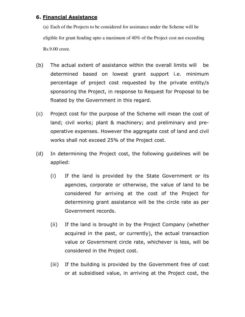## 6. Financial Assistance

(a) Each of the Projects to be considered for assistance under the Scheme will be eligible for grant funding upto a maximum of 40% of the Project cost not exceeding Rs.9.00 crore.

- (b) The actual extent of assistance within the overall limits will be determined based on lowest grant support i.e. minimum percentage of project cost requested by the private entity/s sponsoring the Project, in response to Request for Proposal to be floated by the Government in this regard.
- (c) Project cost for the purpose of the Scheme will mean the cost of land; civil works; plant & machinery; and preliminary and preoperative expenses. However the aggregate cost of land and civil works shall not exceed 25% of the Project cost.
- (d) In determining the Project cost, the following guidelines will be applied:
	- (i) If the land is provided by the State Government or its agencies, corporate or otherwise, the value of land to be considered for arriving at the cost of the Project for determining grant assistance will be the circle rate as per Government records.
	- (ii) If the land is brought in by the Project Company (whether acquired in the past, or currently), the actual transaction value or Government circle rate, whichever is less, will be considered in the Project cost.
	- (iii) If the building is provided by the Government free of cost or at subsidised value, in arriving at the Project cost, the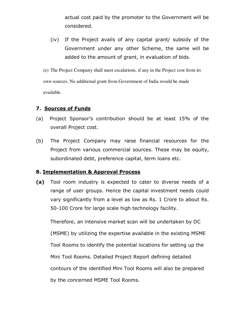actual cost paid by the promoter to the Government will be considered.

(iv) If the Project avails of any capital grant/ subsidy of the Government under any other Scheme, the same will be added to the amount of grant, in evaluation of bids.

(e) The Project Company shall meet escalations, if any in the Project cost from its own sources. No additional grant from Government of India would be made available.

## 7. Sources of Funds

- (a) Project Sponsor's contribution should be at least 15% of the overall Project cost.
- (b) The Project Company may raise financial resources for the Project from various commercial sources. These may be equity, subordinated debt, preference capital, term loans etc.

## 8. Implementation & Approval Process

(a) Tool room industry is expected to cater to diverse needs of a range of user groups. Hence the capital investment needs could vary significantly from a level as low as Rs. 1 Crore to about Rs. 50-100 Crore for large scale high technology facility.

Therefore, an intensive market scan will be undertaken by DC (MSME) by utilizing the expertise available in the existing MSME Tool Rooms to identify the potential locations for setting up the Mini Tool Rooms. Detailed Project Report defining detailed contours of the identified Mini Tool Rooms will also be prepared by the concerned MSME Tool Rooms.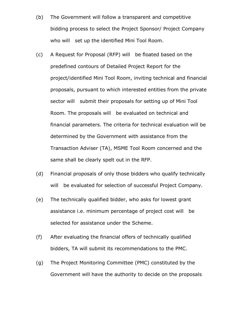- (b) The Government will follow a transparent and competitive bidding process to select the Project Sponsor/ Project Company who will set up the identified Mini Tool Room.
- (c) A Request for Proposal (RFP) will be floated based on the predefined contours of Detailed Project Report for the project/identified Mini Tool Room, inviting technical and financial proposals, pursuant to which interested entities from the private sector will submit their proposals for setting up of Mini Tool Room. The proposals will be evaluated on technical and financial parameters. The criteria for technical evaluation will be determined by the Government with assistance from the Transaction Adviser (TA), MSME Tool Room concerned and the same shall be clearly spelt out in the RFP.
- (d) Financial proposals of only those bidders who qualify technically will be evaluated for selection of successful Project Company.
- (e) The technically qualified bidder, who asks for lowest grant assistance i.e. minimum percentage of project cost will be selected for assistance under the Scheme.
- (f) After evaluating the financial offers of technically qualified bidders, TA will submit its recommendations to the PMC.
- (g) The Project Monitoring Committee (PMC) constituted by the Government will have the authority to decide on the proposals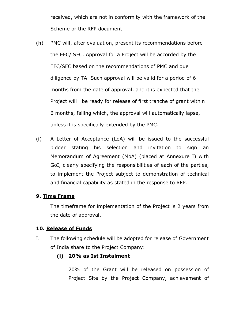received, which are not in conformity with the framework of the Scheme or the RFP document.

- (h) PMC will, after evaluation, present its recommendations before the EFC/ SFC. Approval for a Project will be accorded by the EFC/SFC based on the recommendations of PMC and due diligence by TA. Such approval will be valid for a period of 6 months from the date of approval, and it is expected that the Project will be ready for release of first tranche of grant within 6 months, failing which, the approval will automatically lapse, unless it is specifically extended by the PMC.
- (i) A Letter of Acceptance (LoA) will be issued to the successful bidder stating his selection and invitation to sign an Memorandum of Agreement (MoA) (placed at Annexure I) with GoI, clearly specifying the responsibilities of each of the parties, to implement the Project subject to demonstration of technical and financial capability as stated in the response to RFP.

## 9. Time Frame

The timeframe for implementation of the Project is 2 years from the date of approval.

## 10. Release of Funds

I. The following schedule will be adopted for release of Government of India share to the Project Company:

## (i) 20% as Ist Instalment

20% of the Grant will be released on possession of Project Site by the Project Company, achievement of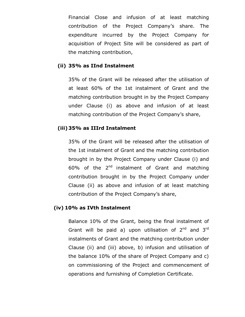Financial Close and infusion of at least matching contribution of the Project Company's share. The expenditure incurred by the Project Company for acquisition of Project Site will be considered as part of the matching contribution,

## (ii) 35% as IInd Instalment

35% of the Grant will be released after the utilisation of at least 60% of the 1st instalment of Grant and the matching contribution brought in by the Project Company under Clause (i) as above and infusion of at least matching contribution of the Project Company's share,

## (iii) 35% as IIIrd Instalment

35% of the Grant will be released after the utilisation of the 1st instalment of Grant and the matching contribution brought in by the Project Company under Clause (i) and 60% of the  $2^{nd}$  instalment of Grant and matching contribution brought in by the Project Company under Clause (ii) as above and infusion of at least matching contribution of the Project Company's share,

## (iv) 10% as IVth Instalment

Balance 10% of the Grant, being the final instalment of Grant will be paid a) upon utilisation of  $2^{nd}$  and  $3^{rd}$ instalments of Grant and the matching contribution under Clause (ii) and (iii) above, b) infusion and utilisation of the balance 10% of the share of Project Company and c) on commissioning of the Project and commencement of operations and furnishing of Completion Certificate.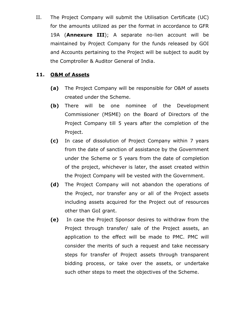II. The Project Company will submit the Utilisation Certificate (UC) for the amounts utilized as per the format in accordance to GFR 19A (**Annexure III**); A separate no-lien account will be maintained by Project Company for the funds released by GOI and Accounts pertaining to the Project will be subject to audit by the Comptroller & Auditor General of India.

## 11. O&M of Assets

- (a) The Project Company will be responsible for O&M of assets created under the Scheme.
- (b) There will be one nominee of the Development Commissioner (MSME) on the Board of Directors of the Project Company till 5 years after the completion of the Project.
- (c) In case of dissolution of Project Company within 7 years from the date of sanction of assistance by the Government under the Scheme or 5 years from the date of completion of the project, whichever is later, the asset created within the Project Company will be vested with the Government.
- (d) The Project Company will not abandon the operations of the Project, nor transfer any or all of the Project assets including assets acquired for the Project out of resources other than GoI grant.
- (e) In case the Project Sponsor desires to withdraw from the Project through transfer/ sale of the Project assets, an application to the effect will be made to PMC. PMC will consider the merits of such a request and take necessary steps for transfer of Project assets through transparent bidding process, or take over the assets, or undertake such other steps to meet the objectives of the Scheme.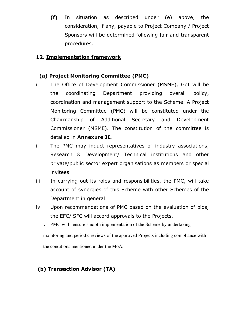(f) In situation as described under (e) above, the consideration, if any, payable to Project Company / Project Sponsors will be determined following fair and transparent procedures.

## 12. Implementation framework

## (a) Project Monitoring Committee (PMC)

- i The Office of Development Commissioner (MSME), GoI will be the coordinating Department providing overall policy, coordination and management support to the Scheme. A Project Monitoring Committee (PMC) will be constituted under the Chairmanship of Additional Secretary and Development Commissioner (MSME). The constitution of the committee is detailed in Annexure II.
- ii The PMC may induct representatives of industry associations, Research & Development/ Technical institutions and other private/public sector expert organisations as members or special invitees.
- iii In carrying out its roles and responsibilities, the PMC, will take account of synergies of this Scheme with other Schemes of the Department in general.
- iv Upon recommendations of PMC based on the evaluation of bids, the EFC/ SFC will accord approvals to the Projects.
	- v PMC will ensure smooth implementation of the Scheme by undertaking monitoring and periodic reviews of the approved Projects including compliance with the conditions mentioned under the MoA.

## (b) Transaction Advisor (TA)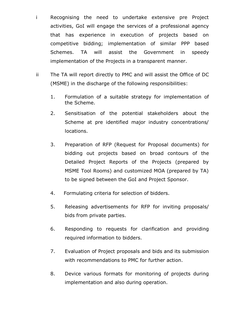- i Recognising the need to undertake extensive pre Project activities, GoI will engage the services of a professional agency that has experience in execution of projects based on competitive bidding; implementation of similar PPP based Schemes. TA will assist the Government in speedy implementation of the Projects in a transparent manner.
- ii The TA will report directly to PMC and will assist the Office of DC (MSME) in the discharge of the following responsibilities:
	- 1. Formulation of a suitable strategy for implementation of the Scheme.
	- 2. Sensitisation of the potential stakeholders about the Scheme at pre identified major industry concentrations/ locations.
	- 3. Preparation of RFP (Request for Proposal documents) for bidding out projects based on broad contours of the Detailed Project Reports of the Projects (prepared by MSME Tool Rooms) and customized MOA (prepared by TA) to be signed between the GoI and Project Sponsor.
	- 4. Formulating criteria for selection of bidders.
	- 5. Releasing advertisements for RFP for inviting proposals/ bids from private parties.
	- 6. Responding to requests for clarification and providing required information to bidders.
	- 7. Evaluation of Project proposals and bids and its submission with recommendations to PMC for further action.
	- 8. Device various formats for monitoring of projects during implementation and also during operation.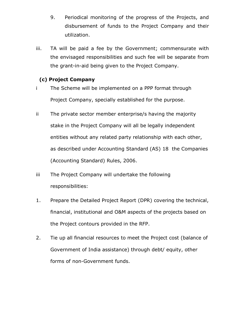- 9. Periodical monitoring of the progress of the Projects, and disbursement of funds to the Project Company and their utilization.
- iii. TA will be paid a fee by the Government; commensurate with the envisaged responsibilities and such fee will be separate from the grant-in-aid being given to the Project Company.

## (c) Project Company

- i The Scheme will be implemented on a PPP format through Project Company, specially established for the purpose.
- ii The private sector member enterprise/s having the majority stake in the Project Company will all be legally independent entities without any related party relationship with each other, as described under Accounting Standard (AS) 18 the Companies (Accounting Standard) Rules, 2006.
- iii The Project Company will undertake the following responsibilities:
- 1. Prepare the Detailed Project Report (DPR) covering the technical, financial, institutional and O&M aspects of the projects based on the Project contours provided in the RFP.
- 2. Tie up all financial resources to meet the Project cost (balance of Government of India assistance) through debt/ equity, other forms of non-Government funds.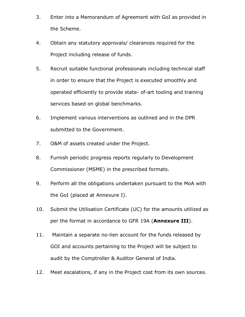- 3. Enter into a Memorandum of Agreement with GoI as provided in the Scheme.
- 4. Obtain any statutory approvals/ clearances required for the Project including release of funds.
- 5. Recruit suitable functional professionals including technical staff in order to ensure that the Project is executed smoothly and operated efficiently to provide state- of-art tooling and training services based on global benchmarks.
- 6. Implement various interventions as outlined and in the DPR submitted to the Government.
- 7. O&M of assets created under the Project.
- 8. Furnish periodic progress reports regularly to Development Commissioner (MSME) in the prescribed formats.
- 9. Perform all the obligations undertaken pursuant to the MoA with the GoI (placed at Annexure I).
- 10. Submit the Utilisation Certificate (UC) for the amounts utilized as per the format in accordance to GFR 19A (Annexure III).
- 11. Maintain a separate no-lien account for the funds released by GOI and accounts pertaining to the Project will be subject to audit by the Comptroller & Auditor General of India.
- 12. Meet escalations, if any in the Project cost from its own sources.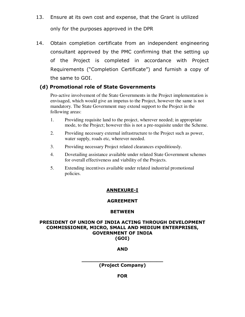13. Ensure at its own cost and expense, that the Grant is utilized

only for the purposes approved in the DPR

14. Obtain completion certificate from an independent engineering consultant approved by the PMC confirming that the setting up of the Project is completed in accordance with Project Requirements ("Completion Certificate") and furnish a copy of the same to GOI.

## (d) Promotional role of State Governments

 Pro-active involvement of the State Governments in the Project implementation is envisaged, which would give an impetus to the Project, however the same is not mandatory. The State Government may extend support to the Project in the following areas:

- 1. Providing requisite land to the project, wherever needed; in appropriate mode, to the Project; however this is not a pre-requisite under the Scheme.
- 2. Providing necessary external infrastructure to the Project such as power, water supply, roads etc, wherever needed.
- 3. Providing necessary Project related clearances expeditiously.
- 4. Dovetailing assistance available under related State Government schemes for overall effectiveness and viability of the Projects.
- 5. Extending incentives available under related industrial promotional policies.

## ANNEXURE-I

## AGREEMENT

## **BETWEEN**

#### PRESIDENT OF UNION OF INDIA ACTING THROUGH DEVELOPMENT COMMISSIONER, MICRO, SMALL AND MEDIUM ENTERPRISES, GOVERNMENT OF INDIA (GOI)

## AND

\_\_\_\_\_\_\_\_\_\_\_\_\_\_\_\_\_\_\_\_\_\_\_\_\_\_ (Project Company)

**FOR**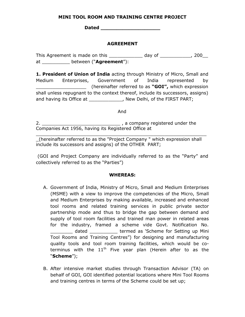#### MINI TOOL ROOM AND TRAINING CENTRE PROJECT

Dated \_\_\_\_\_\_\_\_\_\_\_\_\_\_\_\_\_\_\_

## AGREEMENT

This Agreement is made on this \_\_\_\_\_\_\_\_\_\_\_\_ day of \_\_\_\_\_\_\_\_\_\_\_, 200\_\_ at between ("Agreement"):

1. President of Union of India acting through Ministry of Micro, Small and Medium Enterprises, Government of India represented by (hereinafter referred to as " $GOI''$ , which expression shall unless repugnant to the context thereof, include its successors, assigns) and having its Office at \_\_\_\_\_\_\_\_\_\_\_\_\_, New Delhi, of the FIRST PART;

And

2. \_\_\_\_\_\_\_\_\_\_\_\_\_\_\_\_\_\_\_\_\_\_\_\_\_\_\_\_ , a company registered under the Companies Act 1956, having its Registered Office at

 $\overline{a_1}$  ,  $\overline{a_2}$  ,  $\overline{a_3}$  ,  $\overline{a_4}$  ,  $\overline{a_5}$  ,  $\overline{a_6}$  ,  $\overline{a_7}$  ,  $\overline{a_8}$  ,  $\overline{a_9}$  ,  $\overline{a_9}$  ,  $\overline{a_9}$  ,  $\overline{a_9}$  ,  $\overline{a_9}$  ,  $\overline{a_9}$  ,  $\overline{a_9}$  ,  $\overline{a_9}$  ,  $\overline{a_9}$  , \_(hereinafter referred to as the "Project Company " which expression shall include its successors and assigns) of the OTHER PART;

 (GOI and Project Company are individually referred to as the "Party" and collectively referred to as the "Parties")

## WHEREAS:

- A. Government of India, Ministry of Micro, Small and Medium Enterprises (MSME) with a view to improve the competencies of the Micro, Small and Medium Enterprises by making available, increased and enhanced tool rooms and related training services in public private sector partnership mode and thus to bridge the gap between demand and supply of tool room facilities and trained man power in related areas for the industry, framed a scheme vide Govt. Notification No. dated extermed as 'Scheme for Setting up Mini Tool Rooms and Training Centres") for designing and manufacturing quality tools and tool room training facilities, which would be coterminus with the  $11<sup>th</sup>$  Five year plan (Herein after to as the "Scheme");
- B. After intensive market studies through Transaction Advisor (TA) on behalf of GOI, GOI identified potential locations where Mini Tool Rooms and training centres in terms of the Scheme could be set up;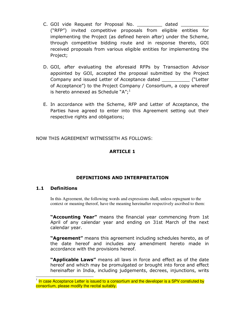- C. GOI vide Request for Proposal No. **Example 18** dated ("RFP") invited competitive proposals from eligible entities for implementing the Project (as defined herein after) under the Scheme, through competitive bidding route and in response thereto, GOI received proposals from various eligible entities for implementing the Project;
- D. GOI, after evaluating the aforesaid RFPs by Transaction Advisor appointed by GOI, accepted the proposal submitted by the Project Company and issued Letter of Acceptance dated \_\_\_\_\_\_\_\_\_\_ ("Letter of Acceptance") to the Project Company / Consortium, a copy whereof is hereto annexed as Schedule " $A$ ";<sup>1</sup>
- E. In accordance with the Scheme, RFP and Letter of Acceptance, the Parties have agreed to enter into this Agreement setting out their respective rights and obligations;

NOW THIS AGREEMENT WITNESSETH AS FOLLOWS:

## ARTICLE 1

## DEFINITIONS AND INTERPRETATION

#### 1.1 Definitions

In this Agreement, the following words and expressions shall, unless repugnant to the context or meaning thereof, have the meaning hereinafter respectively ascribed to them:

"Accounting Year" means the financial year commencing from 1st April of any calendar year and ending on 31st March of the next calendar year.

"Agreement" means this agreement including schedules hereto, as of the date hereof and includes any amendment hereto made in accordance with the provisions hereof.

"Applicable Laws" means all laws in force and effect as of the date hereof and which may be promulgated or brought into force and effect hereinafter in India, including judgements, decrees, injunctions, writs

 1 In case Acceptance Letter is issued to a consortium and the developer is a SPV constiuted by consortium, please modify the recital suitably.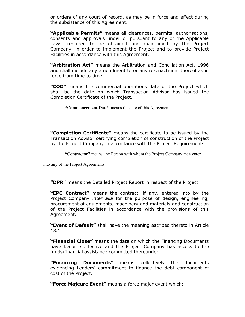or orders of any court of record, as may be in force and effect during the subsistence of this Agreement.

"Applicable Permits" means all clearances, permits, authorisations, consents and approvals under or pursuant to any of the Applicable Laws, required to be obtained and maintained by the Project Company, in order to implement the Project and to provide Project Facilities in accordance with this Agreement.

"Arbitration Act" means the Arbitration and Conciliation Act, 1996 and shall include any amendment to or any re-enactment thereof as in force from time to time.

"COD" means the commercial operations date of the Project which shall be the date on which Transaction Advisor has issued the Completion Certificate of the Project.

 **"Commencement Date"** means the date of this Agreement

"Completion Certificate" means the certificate to be issued by the Transaction Advisor certifying completion of construction of the Project by the Project Company in accordance with the Project Requirements.

 **"Contractor"** means any Person with whom the Project Company may enter

into any of the Project Agreements.

"DPR" means the Detailed Project Report in respect of the Project

"**EPC Contract"** means the contract, if any, entered into by the Project Company *inter alia* for the purpose of design, engineering, procurement of equipments, machinery and materials and construction of the Project Facilities in accordance with the provisions of this Agreement.

"Event of Default" shall have the meaning ascribed thereto in Article 13.1.

"Financial Close" means the date on which the Financing Documents have become effective and the Project Company has access to the funds/financial assistance committed thereunder.

"Financing Documents" means collectively the documents evidencing Lenders' commitment to finance the debt component of cost of the Project.

"Force Majeure Event" means a force major event which: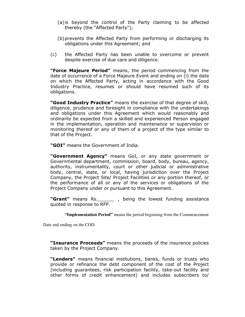- (a)is beyond the control of the Party claiming to be affected thereby (the "Affected Party");
- (b)prevents the Affected Party from performing or discharging its obligations under this Agreement; and
- (c) the Affected Party has been unable to overcome or prevent despite exercise of due care and diligence.

"Force Majeure Period" means, the period commencing from the date of occurrence of a Force Majeure Event and ending on (i) the date on which the Affected Party, acting in accordance with the Good Industry Practice, resumes or should have resumed such of its obligations.

"Good Industry Practice" means the exercise of that degree of skill, diligence, prudence and foresight in compliance with the undertakings and obligations under this Agreement which would reasonably and ordinarily be expected from a skilled and experienced Person engaged in the implementation, operation and maintenance or supervision or monitoring thereof or any of them of a project of the type similar to that of the Project.

"**GOI"** means the Government of India.

"Government Agency" means GoI, or any state government or Governmental department, commission, board, body, bureau, agency, authority, instrumentality, court or other judicial or administrative body, central, state, or local, having jurisdiction over the Project Company, the Project Site/ Project Facilities or any portion thereof, or the performance of all or any of the services or obligations of the Project Company under or pursuant to this Agreement.

"Grant" means Rs. \_\_\_\_\_\_\_ , being the lowest funding assistance quoted in response to RFP.

 **"Implementation Period"** means the period beginning from the Commencement

Date and ending on the COD.

**"Insurance Proceeds"** means the proceeds of the insurance policies taken by the Project Company.

"Lenders" means financial institutions, banks, funds or trusts who provide or refinance the debt component of the cost of the Project (including guarantees, risk participation facility, take-out facility and other forms of credit enhancement) and includes subscribers to/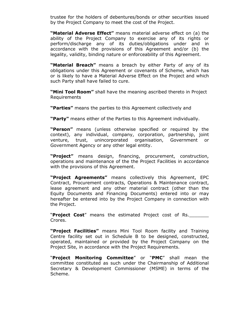trustee for the holders of debentures/bonds or other securities issued by the Project Company to meet the cost of the Project.

"Material Adverse Effect" means material adverse effect on (a) the ability of the Project Company to exercise any of its rights or perform/discharge any of its duties/obligations under and in accordance with the provisions of this Agreement and/or (b) the legality, validity, binding nature or enforceability of this Agreement.

"Material Breach" means a breach by either Party of any of its obligations under this Agreement or covenants of Scheme, which has or is likely to have a Material Adverse Effect on the Project and which such Party shall have failed to cure.

"Mini Tool Room" shall have the meaning ascribed thereto in Project Requirements

"Parties" means the parties to this Agreement collectively and

"Party" means either of the Parties to this Agreement individually.

"Person" means (unless otherwise specified or required by the context), any individual, company, corporation, partnership, joint venture, trust, unincorporated organisation, Government or Government Agency or any other legal entity.

"Project" means design, financing, procurement, construction, operations and maintenance of the the Project Facilities in accordance with the provisions of this Agreement.

"Project Agreements" means collectively this Agreement, EPC Contract, Procurement contracts, Operations & Maintenance contract, lease agreement and any other material contract (other than the Equity Documents and Financing Documents) entered into or may hereafter be entered into by the Project Company in connection with the Project.

"**Project Cost**" means the estimated Project cost of Rs. Crores.

"Project Facilities" means Mini Tool Room facility and Training Centre facility set out in Schedule B to be designed, constructed, operated, maintained or provided by the Project Company on the Project Site, in accordance with the Project Requirements.

"Project Monitoring Committee" or "PMC" shall mean the committee constituted as such under the Chairmanship of Additional Secretary & Development Commissioner (MSME) in terms of the Scheme.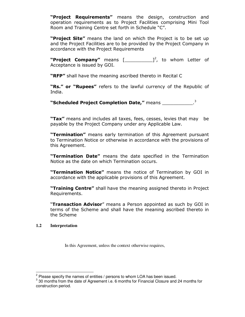"Project Requirements" means the design, construction and operation requirements as to Project Facilities comprising Mini Tool Room and Training Centre set forth in Schedule "C".

"Project Site" means the land on which the Project is to be set up and the Project Facilities are to be provided by the Project Company in accordance with the Project Requirements

"Project Company" means  $[\underline{\hspace{1cm}}]^2$ , to whom Letter of Acceptance is issued by GOI.

"RFP" shall have the meaning ascribed thereto in Recital C

"Rs." or "Rupees" refers to the lawful currency of the Republic of India.

"Scheduled Project Completion Date," means

"Tax" means and includes all taxes, fees, cesses, levies that may be payable by the Project Company under any Applicable Law.

"Termination" means early termination of this Agreement pursuant to Termination Notice or otherwise in accordance with the provisions of this Agreement.

"Termination Date" means the date specified in the Termination Notice as the date on which Termination occurs.

"Termination Notice" means the notice of Termination by GOI in accordance with the applicable provisions of this Agreement.

"Training Centre" shall have the meaning assigned thereto in Project Requirements.

"Transaction Advisor" means a Person appointed as such by GOI in terms of the Scheme and shall have the meaning ascribed thereto in the Scheme

#### **1.2 Interpretation**

In this Agreement, unless the context otherwise requires,

 2 Please specify the names of entities / persons to whom LOA has been issued.

 $3$  30 months from the date of Agreement i.e. 6 months for Financial Closure and 24 months for construction period.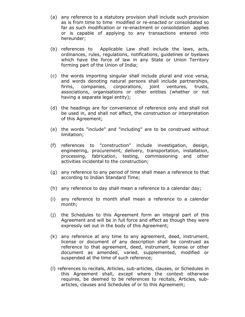- (a) any reference to a statutory provision shall include such provision as is from time to time modified or re-enacted or consolidated so far as such modification or re-enactment or consolidation applies or is capable of applying to any transactions entered into hereunder;
- (b) references to Applicable Law shall include the laws, acts, ordinances, rules, regulations, notifications, guidelines or byelaws which have the force of law in any State or Union Territory forming part of the Union of India;
- (c) the words importing singular shall include plural and vice versa, and words denoting natural persons shall include partnerships, firms, companies, corporations, joint ventures, trusts, associations, organisations or other entities (whether or not having a separate legal entity);
- (d) the headings are for convenience of reference only and shall not be used in, and shall not affect, the construction or interpretation of this Agreement;
- (e) the words "include" and "including" are to be construed without limitation;
- (f) references to "construction" include investigation, design, engineering, procurement, delivery, transportation, installation, processing, fabrication, testing, commissioning and other activities incidental to the construction;
- (g) any reference to any period of time shall mean a reference to that according to Indian Standard Time;
- (h) any reference to day shall mean a reference to a calendar day;
- (i) any reference to month shall mean a reference to a calendar month;
- (j) the Schedules to this Agreement form an integral part of this Agreement and will be in full force and effect as though they were expressly set out in the body of this Agreement;
- (k) any reference at any time to any agreement, deed, instrument, license or document of any description shall be construed as reference to that agreement, deed, instrument, license or other document as amended, varied, supplemented, modified or suspended at the time of such reference;
- (l) references to recitals, Articles, sub-articles, clauses, or Schedules in this Agreement shall, except where the context otherwise requires, be deemed to be references to recitals, Articles, subarticles, clauses and Schedules of or to this Agreement;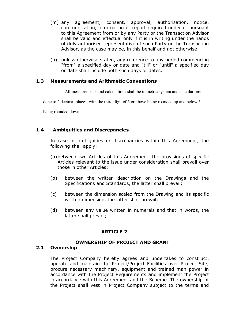- (m) any agreement, consent, approval, authorisation, notice, communication, information or report required under or pursuant to this Agreement from or by any Party or the Transaction Advisor shall be valid and effectual only if it is in writing under the hands of duly authorised representative of such Party or the Transaction Advisor, as the case may be, in this behalf and not otherwise;
- (n) unless otherwise stated, any reference to any period commencing "from" a specified day or date and "till" or "until" a specified day or date shall include both such days or dates.

#### 1.3 Measurements and Arithmetic Conventions

All measurements and calculations shall be in metric system and calculations

done to 2 decimal places, with the third digit of 5 or above being rounded up and below 5

being rounded down.

## 1.4 Ambiguities and Discrepancies

In case of ambiguities or discrepancies within this Agreement, the following shall apply:

- (a)between two Articles of this Agreement, the provisions of specific Articles relevant to the issue under consideration shall prevail over those in other Articles;
- (b) between the written description on the Drawings and the Specifications and Standards, the latter shall prevail;
- (c) between the dimension scaled from the Drawing and its specific written dimension, the latter shall prevail;
- (d) between any value written in numerals and that in words, the latter shall prevail;

## ARTICLE 2

## OWNERSHIP OF PROJECT AND GRANT

#### 2.1 Ownership

The Project Company hereby agrees and undertakes to construct, operate and maintain the Project/Project Facilities over Project Site, procure necessary machinery, equipment and trained man power in accordance with the Project Requirements and implement the Project in accordance with this Agreement and the Scheme. The ownership of the Project shall vest in Project Company subject to the terms and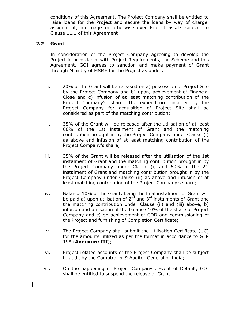conditions of this Agreement. The Project Company shall be entitled to raise loans for the Project and secure the loans by way of charge, assignment, mortgage or otherwise over Project assets subject to Clause 11.1 of this Agreement

### 2.2 Grant

In consideration of the Project Company agreeing to develop the Project in accordance with Project Requirements, the Scheme and this Agreement, GOI agrees to sanction and make payment of Grant through Ministry of MSME for the Project as under:

- i. 20% of the Grant will be released on a) possession of Project Site by the Project Company and b) upon, achievement of Financial Close and c) infusion of at least matching contribution of the Project Company's share. The expenditure incurred by the Project Company for acquisition of Project Site shall be considered as part of the matching contribution;
- ii. 35% of the Grant will be released after the utilisation of at least 60% of the 1st instalment of Grant and the matching contribution brought in by the Project Company under Clause (i) as above and infusion of at least matching contribution of the Project Company's share;
- iii. 35% of the Grant will be released after the utilisation of the 1st instalment of Grant and the matching contribution brought in by the Project Company under Clause (i) and  $60\%$  of the  $2<sup>nd</sup>$ instalment of Grant and matching contribution brought in by the Project Company under Clause (ii) as above and infusion of at least matching contribution of the Project Company's share;
- iv. Balance 10% of the Grant, being the final instalment of Grant will be paid a) upon utilisation of  $2^{nd}$  and  $3^{rd}$  instalments of Grant and the matching contribution under Clause (ii) and (iii) above, b) infusion and utilisation of the balance 10% of the share of Project Company and c) on achievement of COD and commissioning of the Project and furnishing of Completion Certificate;
- v. The Project Company shall submit the Utilisation Certificate (UC) for the amounts utilized as per the format in accordance to GFR 19A (Annexure III);
- vi. Project related accounts of the Project Company shall be subject to audit by the Comptroller & Auditor General of India;
- vii. On the happening of Project Company's Event of Default, GOI shall be entitled to suspend the release of Grant.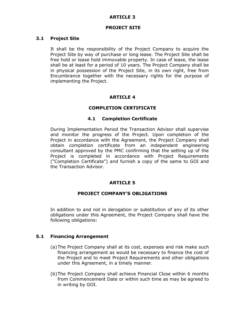## ARTICLE 3

#### PROJECT SITE

#### 3.1 Project Site

It shall be the responsibility of the Project Company to acquire the Project Site by way of purchase or long lease. The Project Site shall be free hold or lease hold immovable property. In case of lease, the lease shall be at least for a period of 10 years. The Project Company shall be in physical possession of the Project Site, in its own right, free from Encumbrance together with the necessary rights for the purpose of implementing the Project.

## ARTICLE 4

## COMPLETION CERTIFICATE

#### 4.1 Completion Certificate

During Implementation Period the Transaction Advisor shall supervise and monitor the progress of the Project. Upon completion of the Project in accordance with the Agreement, the Project Company shall obtain completion certificate from an independent engineering consultant approved by the PMC confirming that the setting up of the Project is completed in accordance with Project Requirements ("Completion Certificate") and furnish a copy of the same to GOI and the Transaction Advisor.

## ARTICLE 5

#### PROJECT COMPANY'S OBLIGATIONS

In addition to and not in derogation or substitution of any of its other obligations under this Agreement, the Project Company shall have the following obligations:

#### 5.1 Financing Arrangement

- (a)The Project Company shall at its cost, expenses and risk make such financing arrangement as would be necessary to finance the cost of the Project and to meet Project Requirements and other obligations under this Agreement, in a timely manner.
- (b)The Project Company shall achieve Financial Close within 6 months from Commencement Date or within such time as may be agreed to in writing by GOI.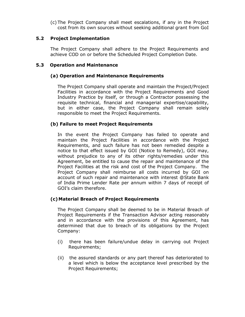(c) The Project Company shall meet escalations, if any in the Project cost from its own sources without seeking additional grant from GoI

## 5.2 Project Implementation

The Project Company shall adhere to the Project Requirements and achieve COD on or before the Scheduled Project Completion Date.

## 5.3 Operation and Maintenance

## (a) Operation and Maintenance Requirements

The Project Company shall operate and maintain the Project/Project Facilities in accordance with the Project Requirements and Good Industry Practice by itself, or through a Contractor possessing the requisite technical, financial and managerial expertise/capability, but in either case, the Project Company shall remain solely responsible to meet the Project Requirements.

## (b) Failure to meet Project Requirements

In the event the Project Company has failed to operate and maintain the Project Facilities in accordance with the Project Requirements, and such failure has not been remedied despite a notice to that effect issued by GOI (Notice to Remedy), GOI may, without prejudice to any of its other rights/remedies under this Agreement, be entitled to cause the repair and maintenance of the Project Facilities at the risk and cost of the Project Company. The Project Company shall reimburse all costs incurred by GOI on account of such repair and maintenance with interest @State Bank of India Prime Lender Rate per annum within 7 days of receipt of GOI's claim therefore.

## (c)Material Breach of Project Requirements

The Project Company shall be deemed to be in Material Breach of Project Requirements if the Transaction Advisor acting reasonably and in accordance with the provisions of this Agreement, has determined that due to breach of its obligations by the Project Company:

- (i) there has been failure/undue delay in carrying out Project Requirements;
- (ii) the assured standards or any part thereof has deteriorated to a level which is below the acceptance level prescribed by the Project Requirements;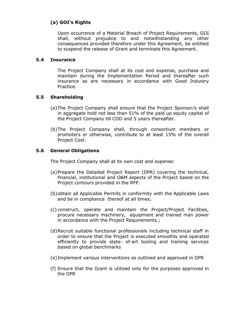## (a) GOI's Rights

Upon occurrence of a Material Breach of Project Requirements, GOI shall, without prejudice to and notwithstanding any other consequences provided therefore under this Agreement, be entitled to suspend the release of Grant and terminate this Agreement.

### 5.4 Insurance

 The Project Company shall at its cost and expense, purchase and maintain during the Implementation Period and thereafter such insurance as are necessary in accordance with Good Industry Practice.

## 5.5 Shareholding

- (a)The Project Company shall ensure that the Project Sponsor/s shall in aggregate hold not less than 51% of the paid up equity capital of the Project Company till COD and 5 years thereafter.
- (b)The Project Company shall, through consortium members or promoters or otherwise, contribute to at least 15% of the overall Project Cost.

## 5.6 General Obligations

The Project Company shall at its own cost and expense:

- (a)Prepare the Detailed Project Report (DPR) covering the technical, financial, institutional and O&M aspects of the Project based on the Project contours provided in the RFP.
- (b)obtain all Applicable Permits in conformity with the Applicable Laws and be in compliance thereof at all times;
- (c) construct, operate and maintain the Project/Project Facilities, procure necessary machinery, equipment and trained man power in accordance with the Project Requirements.;
- (d)Recruit suitable functional professionals including technical staff in order to ensure that the Project is executed smoothly and operated efficiently to provide state- of-art tooling and training services based on global benchmarks
- (e) Implement various interventions as outlined and approved in DPR
- (f) Ensure that the Grant is utilized only for the purposes approved in the DPR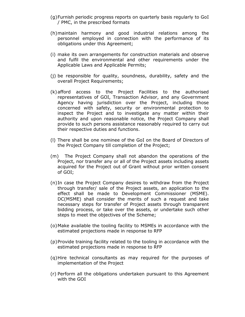- (g)Furnish periodic progress reports on quarterly basis regularly to GoI / PMC, in the prescribed formats
- (h)maintain harmony and good industrial relations among the personnel employed in connection with the performance of its obligations under this Agreement;
- (i) make its own arrangements for construction materials and observe and fulfil the environmental and other requirements under the Applicable Laws and Applicable Permits;
- (j) be responsible for quality, soundness, durability, safety and the overall Project Requirements;
- (k)afford access to the Project Facilities to the authorised representatives of GOI, Transaction Advisor, and any Government Agency having jurisdiction over the Project, including those concerned with safety, security or environmental protection to inspect the Project and to investigate any matter within their authority and upon reasonable notice, the Project Company shall provide to such persons assistance reasonably required to carry out their respective duties and functions.
- (l) There shall be one nominee of the GoI on the Board of Directors of the Project Company till completion of the Project;
- (m) The Project Company shall not abandon the operations of the Project, nor transfer any or all of the Project assets including assets acquired for the Project out of Grant without prior written consent of GOI;
- (n)In case the Project Company desires to withdraw from the Project through transfer/ sale of the Project assets, an application to the effect shall be made to Development Commissioner (MSME). DC(MSME) shall consider the merits of such a request and take necessary steps for transfer of Project assets through transparent bidding process, or take over the assets, or undertake such other steps to meet the objectives of the Scheme;
- (o)Make available the tooling facility to MSMEs in accordance with the estimated projections made in response to RFP
- (p)Provide training facility related to the tooling in accordance with the estimated projections made in response to RFP
- (q)Hire technical consultants as may required for the purposes of implementation of the Project
- (r) Perform all the obligations undertaken pursuant to this Agreement with the GOI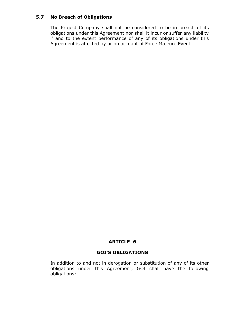## 5.7 No Breach of Obligations

The Project Company shall not be considered to be in breach of its obligations under this Agreement nor shall it incur or suffer any liability if and to the extent performance of any of its obligations under this Agreement is affected by or on account of Force Majeure Event

## ARTICLE 6

#### GOI'S OBLIGATIONS

In addition to and not in derogation or substitution of any of its other obligations under this Agreement, GOI shall have the following obligations: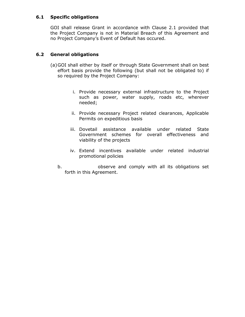## 6.1 Specific obligations

GOI shall release Grant in accordance with Clause 2.1 provided that the Project Company is not in Material Breach of this Agreement and no Project Company's Event of Default has occured.

## 6.2 General obligations

- (a)GOI shall either by itself or through State Government shall on best effort basis provide the following (but shall not be obligated to) if so required by the Project Company:
	- i. Provide necessary external infrastructure to the Project such as power, water supply, roads etc, wherever needed;
	- ii. Provide necessary Project related clearances, Applicable Permits on expeditious basis
	- iii. Dovetail assistance available under related State Government schemes for overall effectiveness and viability of the projects
	- iv. Extend incentives available under related industrial promotional policies
	- b. observe and comply with all its obligations set forth in this Agreement.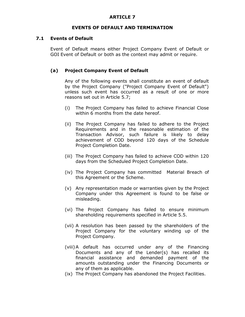## ARTICLE 7

#### EVENTS OF DEFAULT AND TERMINATION

#### 7.1 Events of Default

Event of Default means either Project Company Event of Default or GOI Event of Default or both as the context may admit or require.

## (a) Project Company Event of Default

Any of the following events shall constitute an event of default by the Project Company ("Project Company Event of Default") unless such event has occurred as a result of one or more reasons set out in Article 5.7;

- (i) The Project Company has failed to achieve Financial Close within 6 months from the date hereof.
- (ii) The Project Company has failed to adhere to the Project Requirements and in the reasonable estimation of the Transaction Advisor, such failure is likely to delay achievement of COD beyond 120 days of the Schedule Project Completion Date.
- (iii) The Project Company has failed to achieve COD within 120 days from the Scheduled Project Completion Date.
- (iv) The Project Company has committed Material Breach of this Agreement or the Scheme.
- (v) Any representation made or warranties given by the Project Company under this Agreement is found to be false or misleading.
- (vi) The Project Company has failed to ensure minimum shareholding requirements specified in Article 5.5.
- (vii) A resolution has been passed by the shareholders of the Project Company for the voluntary winding up of the Project Company.
- (viii)A default has occurred under any of the Financing Documents and any of the Lender(s) has recalled its financial assistance and demanded payment of the amounts outstanding under the Financing Documents or any of them as applicable.
- (ix) The Project Company has abandoned the Project Facilities.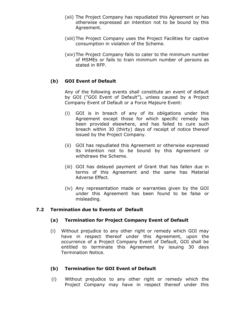- (xii) The Project Company has repudiated this Agreement or has otherwise expressed an intention not to be bound by this Agreement.
- (xiii) The Project Company uses the Project Facilities for captive consumption in violation of the Scheme.
- (xiv)The Project Company fails to cater to the minimum number of MSMEs or fails to train minimum number of persons as stated in RFP.

## (b) GOI Event of Default

Any of the following events shall constitute an event of default by GOI ("GOI Event of Default"), unless caused by a Project Company Event of Default or a Force Majeure Event:

- (i) GOI is in breach of any of its obligations under this Agreement except those for which specific remedy has been provided elsewhere, and has failed to cure such breach within 30 (thirty) days of receipt of notice thereof issued by the Project Company.
- (ii) GOI has repudiated this Agreement or otherwise expressed its intention not to be bound by this Agreement or withdraws the Scheme.
- (iii) GOI has delayed payment of Grant that has fallen due in terms of this Agreement and the same has Material Adverse Effect.
- (iv) Any representation made or warranties given by the GOI under this Agreement has been found to be false or misleading.

## 7.2 Termination due to Events of Default

## (a) Termination for Project Company Event of Default

(i) Without prejudice to any other right or remedy which GOI may have in respect thereof under this Agreement, upon the occurrence of a Project Company Event of Default, GOI shall be entitled to terminate this Agreement by issuing 30 days Termination Notice.

### (b) Termination for GOI Event of Default

 (i) Without prejudice to any other right or remedy which the Project Company may have in respect thereof under this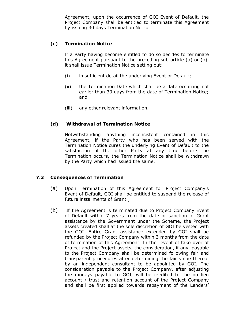Agreement, upon the occurrence of GOI Event of Default, the Project Company shall be entitled to terminate this Agreement by issuing 30 days Termination Notice.

## (c) Termination Notice

If a Party having become entitled to do so decides to terminate this Agreement pursuant to the preceding sub article (a) or (b), it shall issue Termination Notice setting out:

- (i) in sufficient detail the underlying Event of Default;
- (ii) the Termination Date which shall be a date occurring not earlier than 30 days from the date of Termination Notice; and
- (iii) any other relevant information.

## (d) Withdrawal of Termination Notice

Notwithstanding anything inconsistent contained in this Agreement, if the Party who has been served with the Termination Notice cures the underlying Event of Default to the satisfaction of the other Party at any time before the Termination occurs, the Termination Notice shall be withdrawn by the Party which had issued the same.

## 7.3 Consequences of Termination

- (a) Upon Termination of this Agreement for Project Company's Event of Default, GOI shall be entitled to suspend the release of future installments of Grant.;
- (b) If the Agreement is terminated due to Project Company Event of Default within 7 years from the date of sanction of Grant assistance by the Government under the Scheme, the Project assets created shall at the sole discretion of GOI be vested with the GOI. Entire Grant assistance extended by GOI shall be refunded by the Project Company within 3 months from the date of termination of this Agreement. In the event of take over of Project and the Project assets, the consideration, if any, payable to the Project Company shall be determined following fair and transparent procedures after determining the fair value thereof by an independent consultant to be appointed by GOI. The consideration payable to the Project Company, after adjusting the moneys payable to GOI, will be credited to the no lien account / trust and retention account of the Project Company and shall be first applied towards repayment of the Lenders'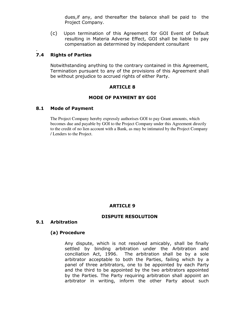dues,if any, and thereafter the balance shall be paid to the Project Company.

(c) Upon termination of this Agreement for GOI Event of Default resulting in Materia Adverse Effect, GOI shall be liable to pay compensation as determined by independent consultant

#### . 7.4 Rights of Parties

Notwithstanding anything to the contrary contained in this Agreement, Termination pursuant to any of the provisions of this Agreement shall be without prejudice to accrued rights of either Party.

## ARTICLE 8

## MODE OF PAYMENT BY GOI

#### 8.1 Mode of Payment

The Project Company hereby expressly authorises GOI to pay Grant amounts, which becomes due and payable by GOI to the Project Company under this Agreement directly to the credit of no lien account with a Bank, as may be intimated by the Project Company / Lenders to the Project.

## ARTICLE 9

#### DISPUTE RESOLUTION

#### 9.1 Arbitration

#### (a) Procedure

 Any dispute, which is not resolved amicably, shall be finally settled by binding arbitration under the Arbitration and conciliation Act, 1996. The arbitration shall be by a sole arbitrator acceptable to both the Parties, failing which by a panel of three arbitrators, one to be appointed by each Party and the third to be appointed by the two arbitrators appointed by the Parties. The Party requiring arbitration shall appoint an arbitrator in writing, inform the other Party about such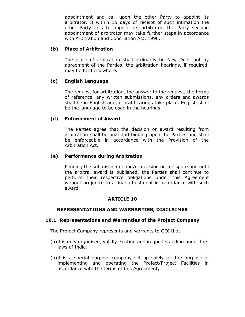appointment and call upon the other Party to appoint its arbitrator. If within 15 days of receipt of such intimation the other Party fails to appoint its arbitrator, the Party seeking appointment of arbitrator may take further steps in accordance with Arbitration and Conciliation Act, 1996.

## (b) Place of Arbitration

 The place of arbitration shall ordinarily be New Delhi but by agreement of the Parties, the arbitration hearings, if required, may be held elsewhere.

## (c) English Language

The request for arbitration, the answer to the request, the terms of reference, any written submissions, any orders and awards shall be in English and, if oral hearings take place, English shall be the language to be used in the hearings.

## (d) Enforcement of Award

The Parties agree that the decision or award resulting from arbitration shall be final and binding upon the Parties and shall be enforceable in accordance with the Provision of the Arbitration Act.

## (e) Performance during Arbitration

 Pending the submission of and/or decision on a dispute and until the arbitral award is published, the Parties shall continue to perform their respective obligations under this Agreement without prejudice to a final adjustment in accordance with such award.

## ARTICLE 10

## REPRESENTATIONS AND WARRANTIES, DISCLAIMER

## 10.1 Representations and Warranties of the Project Company

The Project Company represents and warrants to GOI that:

- (a)it is duly organised, validly existing and in good standing under the laws of India;
- (b)it is a special purpose company set up solely for the purpose of implementing and operating the Project/Project Facilities in accordance with the terms of this Agreement;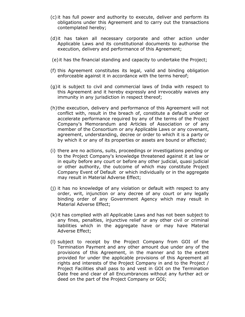- (c) it has full power and authority to execute, deliver and perform its obligations under this Agreement and to carry out the transactions contemplated hereby;
- (d)it has taken all necessary corporate and other action under Applicable Laws and its constitutional documents to authorise the execution, delivery and performance of this Agreement;
- (e) it has the financial standing and capacity to undertake the Project;
- (f) this Agreement constitutes its legal, valid and binding obligation enforceable against it in accordance with the terms hereof;
- (g)it is subject to civil and commercial laws of India with respect to this Agreement and it hereby expressly and irrevocably waives any immunity in any jurisdiction in respect thereof;
- (h)the execution, delivery and performance of this Agreement will not conflict with, result in the breach of, constitute a default under or accelerate performance required by any of the terms of the Project Company's Memorandum and Articles of Association or of any member of the Consortium or any Applicable Laws or any covenant, agreement, understanding, decree or order to which it is a party or by which it or any of its properties or assets are bound or affected;
- (i) there are no actions, suits, proceedings or investigations pending or to the Project Company's knowledge threatened against it at law or in equity before any court or before any other judicial, quasi judicial or other authority, the outcome of which may constitute Project Company Event of Default or which individually or in the aggregate may result in Material Adverse Effect;
- (j) it has no knowledge of any violation or default with respect to any order, writ, injunction or any decree of any court or any legally binding order of any Government Agency which may result in Material Adverse Effect;
- (k) it has complied with all Applicable Laws and has not been subject to any fines, penalties, injunctive relief or any other civil or criminal liabilities which in the aggregate have or may have Material Adverse Effect;
- (l) subject to receipt by the Project Company from GOI of the Termination Payment and any other amount due under any of the provisions of this Agreement, in the manner and to the extent provided for under the applicable provisions of this Agreement all rights and interests of the Project Company in and to the Project / Project Facilities shall pass to and vest in GOI on the Termination Date free and clear of all Encumbrances without any further act or deed on the part of the Project Company or GOI;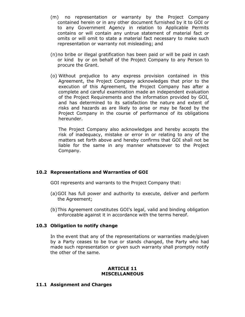- (m) no representation or warranty by the Project Company contained herein or in any other document furnished by it to GOI or to any Government Agency in relation to Applicable Permits contains or will contain any untrue statement of material fact or omits or will omit to state a material fact necessary to make such representation or warranty not misleading; and
- (n)no bribe or illegal gratification has been paid or will be paid in cash or kind by or on behalf of the Project Company to any Person to procure the Grant.
- (o) Without prejudice to any express provision contained in this Agreement, the Project Company acknowledges that prior to the execution of this Agreement, the Project Company has after a complete and careful examination made an independent evaluation of the Project Requirements and the information provided by GOI, and has determined to its satisfaction the nature and extent of risks and hazards as are likely to arise or may be faced by the Project Company in the course of performance of its obligations hereunder.

The Project Company also acknowledges and hereby accepts the risk of inadequacy, mistake or error in or relating to any of the matters set forth above and hereby confirms that GOI shall not be liable for the same in any manner whatsoever to the Project Company.

## 10.2 Representations and Warranties of GOI

GOI represents and warrants to the Project Company that:

- (a)GOI has full power and authority to execute, deliver and perform the Agreement;
- (b)This Agreement constitutes GOI's legal, valid and binding obligation enforceable against it in accordance with the terms hereof.

## 10.3 Obligation to notify change

 In the event that any of the representations or warranties made/given by a Party ceases to be true or stands changed, the Party who had made such representation or given such warranty shall promptly notify the other of the same.

#### ARTICLE 11 **MISCELLANEOUS**

## 11.1 Assignment and Charges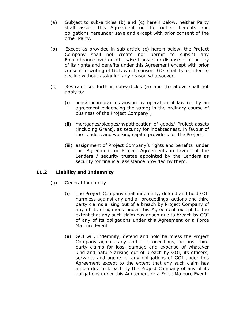- (a) Subject to sub-articles (b) and (c) herein below, neither Party shall assign this Agreement or the rights, benefits and obligations hereunder save and except with prior consent of the other Party.
- (b) Except as provided in sub-article (c) herein below, the Project Company shall not create nor permit to subsist any Encumbrance over or otherwise transfer or dispose of all or any of its rights and benefits under this Agreement except with prior consent in writing of GOI, which consent GOI shall be entitled to decline without assigning any reason whatsoever.
- (c) Restraint set forth in sub-articles (a) and (b) above shall not apply to:
	- (i) liens/encumbrances arising by operation of law (or by an agreement evidencing the same) in the ordinary course of business of the Project Company ;
	- (ii) mortgages/pledges/hypothecation of goods/ Project assets (including Grant), as security for indebtedness, in favour of the Lenders and working capital providers for the Project;
	- (iii) assignment of Project Company's rights and benefits under this Agreement or Project Agreements in favour of the Lenders / security trustee appointed by the Lenders as security for financial assistance provided by them.

## 11.2 Liability and Indemnity

- (a) General Indemnity
	- (i) The Project Company shall indemnify, defend and hold GOI harmless against any and all proceedings, actions and third party claims arising out of a breach by Project Company of any of its obligations under this Agreement except to the extent that any such claim has arisen due to breach by GOI of any of its obligations under this Agreement or a Force Majeure Event.
	- (ii) GOI will, indemnify, defend and hold harmless the Project Company against any and all proceedings, actions, third party claims for loss, damage and expense of whatever kind and nature arising out of breach by GOI, its officers, servants and agents of any obligations of GOI under this Agreement except to the extent that any such claim has arisen due to breach by the Project Company of any of its obligations under this Agreement or a Force Majeure Event.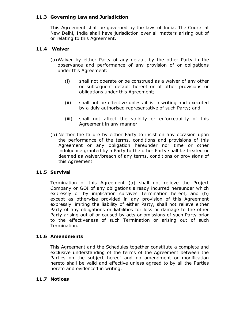## 11.3 Governing Law and Jurisdiction

 This Agreement shall be governed by the laws of India. The Courts at New Delhi, India shall have jurisdiction over all matters arising out of or relating to this Agreement.

## 11.4 Waiver

- (a) Waiver by either Party of any default by the other Party in the observance and performance of any provision of or obligations under this Agreement:
	- (i) shall not operate or be construed as a waiver of any other or subsequent default hereof or of other provisions or obligations under this Agreement;
	- (ii) shall not be effective unless it is in writing and executed by a duly authorised representative of such Party; and
	- (iii) shall not affect the validity or enforceability of this Agreement in any manner.
- (b) Neither the failure by either Party to insist on any occasion upon the performance of the terms, conditions and provisions of this Agreement or any obligation hereunder nor time or other indulgence granted by a Party to the other Party shall be treated or deemed as waiver/breach of any terms, conditions or provisions of this Agreement.

## 11.5 Survival

Termination of this Agreement (a) shall not relieve the Project Company or GOI of any obligations already incurred hereunder which expressly or by implication survives Termination hereof, and (b) except as otherwise provided in any provision of this Agreement expressly limiting the liability of either Party, shall not relieve either Party of any obligations or liabilities for loss or damage to the other Party arising out of or caused by acts or omissions of such Party prior to the effectiveness of such Termination or arising out of such Termination.

## 11.6 Amendments

This Agreement and the Schedules together constitute a complete and exclusive understanding of the terms of the Agreement between the Parties on the subject hereof and no amendment or modification hereto shall be valid and effective unless agreed to by all the Parties hereto and evidenced in writing.

## 11.7 Notices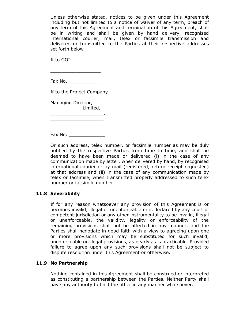Unless otherwise stated, notices to be given under this Agreement including but not limited to a notice of waiver of any term, breach of any term of this Agreement and termination of this Agreement, shall be in writing and shall be given by hand delivery, recognised international courier, mail, telex or facsimile transmission and delivered or transmitted to the Parties at their respective addresses set forth below :

If to GOI:

 $\overline{\phantom{a}}$  , where  $\overline{\phantom{a}}$  , where  $\overline{\phantom{a}}$  , where  $\overline{\phantom{a}}$  ,  $\overline{\phantom{a}}$  ,  $\overline{\phantom{a}}$  ,  $\overline{\phantom{a}}$  ,  $\overline{\phantom{a}}$  ,  $\overline{\phantom{a}}$  ,  $\overline{\phantom{a}}$  ,  $\overline{\phantom{a}}$  ,  $\overline{\phantom{a}}$  ,  $\overline{\phantom{a}}$  ,  $\overline{\phantom{a}}$  ,  $\overline{\phantom$  $\overline{\phantom{a}}$  , where  $\overline{\phantom{a}}$  , where  $\overline{\phantom{a}}$  , where  $\overline{\phantom{a}}$  , where  $\overline{\phantom{a}}$ 

Fax No.\_\_\_\_\_\_\_\_\_\_\_\_

If to the Project Company

Managing Director,

\_\_\_\_\_\_\_\_\_\_\_ Limited, \_\_\_\_\_\_\_\_\_\_\_\_\_\_\_\_\_\_\_,

Fax No.

 $\overline{\phantom{a}}$  , which is the set of the set of the set of the set of the set of the set of the set of the set of the set of the set of the set of the set of the set of the set of the set of the set of the set of the set of

Or such address, telex number, or facsimile number as may be duly notified by the respective Parties from time to time, and shall be deemed to have been made or delivered (i) in the case of any communication made by letter, when delivered by hand, by recognised international courier or by mail (registered, return receipt requested) at that address and (ii) in the case of any communication made by telex or facsimile, when transmitted properly addressed to such telex number or facsimile number.

## 11.8 Severability

If for any reason whatsoever any provision of this Agreement is or becomes invalid, illegal or unenforceable or is declared by any court of competent jurisdiction or any other instrumentality to be invalid, illegal or unenforceable, the validity, legality or enforceability of the remaining provisions shall not be affected in any manner, and the Parties shall negotiate in good faith with a view to agreeing upon one or more provisions which may be substituted for such invalid, unenforceable or illegal provisions, as nearly as is practicable. Provided failure to agree upon any such provisions shall not be subject to dispute resolution under this Agreement or otherwise.

## 11.9 No Partnership

Nothing contained in this Agreement shall be construed or interpreted as constituting a partnership between the Parties. Neither Party shall have any authority to bind the other in any manner whatsoever.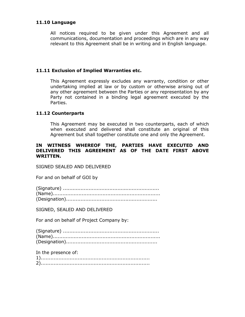#### 11.10 Language

All notices required to be given under this Agreement and all communications, documentation and proceedings which are in any way relevant to this Agreement shall be in writing and in English language.

#### 11.11 Exclusion of Implied Warranties etc.

This Agreement expressly excludes any warranty, condition or other undertaking implied at law or by custom or otherwise arising out of any other agreement between the Parties or any representation by any Party not contained in a binding legal agreement executed by the Parties.

#### 11.12 Counterparts

This Agreement may be executed in two counterparts, each of which when executed and delivered shall constitute an original of this Agreement but shall together constitute one and only the Agreement.

#### IN WITNESS WHEREOF THE, PARTIES HAVE EXECUTED AND DELIVERED THIS AGREEMENT AS OF THE DATE FIRST ABOVE WRITTEN.

SIGNED SEALED AND DELIVERED

For and on behalf of GOI by

SIGNED, SEALED AND DELIVERED

For and on behalf of Project Company by:

In the presence of:

| $\overline{\phantom{a}}$ |  |  |  |  |  |  |  |  |  |  |  |  |  |  |  |  |  |  |  |  |  |  |  |  |  |  |  |  |
|--------------------------|--|--|--|--|--|--|--|--|--|--|--|--|--|--|--|--|--|--|--|--|--|--|--|--|--|--|--|--|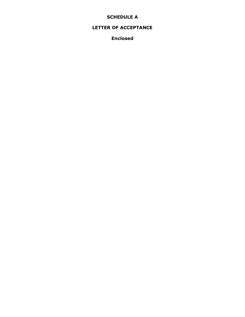## SCHEDULE A

## LETTER OF ACCEPTANCE

Enclosed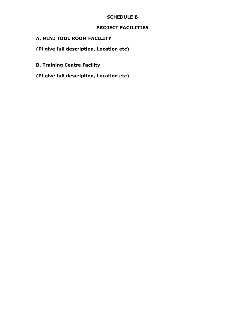## SCHEDULE B

## PROJECT FACILITIES

## A. MINI TOOL ROOM FACILITY

(Pl give full description, Location etc)

- B. Training Centre Facility
- (Pl give full description, Location etc)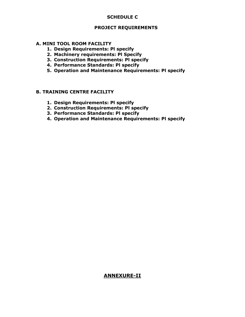## SCHEDULE C

#### PROJECT REQUIREMENTS

#### A. MINI TOOL ROOM FACILITY

- 1. Design Requirements: Pl specify
- 2. Machinery requirements: Pl Specify
- 3. Construction Requirements: Pl specify
- 4. Performance Standards: Pl specify
- 5. Operation and Maintenance Requirements: Pl specify

#### B. TRAINING CENTRE FACILITY

- 1. Design Requirements: Pl specify
- 2. Construction Requirements: Pl specify
- 3. Performance Standards: Pl specify
- 4. Operation and Maintenance Requirements: Pl specify

## ANNEXURE-II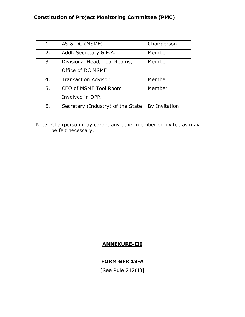# Constitution of Project Monitoring Committee (PMC)

| 1. | AS & DC (MSME)                    | Chairperson   |
|----|-----------------------------------|---------------|
| 2. | Addl. Secretary & F.A.            | Member        |
| 3. | Divisional Head, Tool Rooms,      | Member        |
|    | Office of DC MSME                 |               |
| 4. | <b>Transaction Advisor</b>        | Member        |
| 5. | CEO of MSME Tool Room             | Member        |
|    | Involved in DPR                   |               |
| 6. | Secretary (Industry) of the State | By Invitation |

Note: Chairperson may co-opt any other member or invitee as may be felt necessary.

## ANNEXURE-III

## FORM GFR 19-A

[See Rule 212(1)]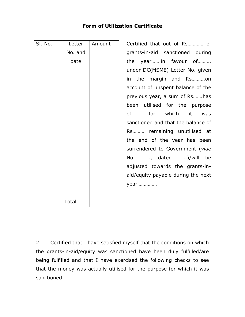| SI. No. | Letter       | Amount |
|---------|--------------|--------|
|         | No. and      |        |
|         | date         |        |
|         |              |        |
|         |              |        |
|         |              |        |
|         |              |        |
|         |              |        |
|         |              |        |
|         |              |        |
|         |              |        |
|         |              |        |
|         |              |        |
|         |              |        |
|         |              |        |
|         |              |        |
|         |              |        |
|         |              |        |
|         | <b>Total</b> |        |

Certified that out of Rs............. of grants-in-aid sanctioned during the year…….in favour of………. under DC(MSME) Letter No. given in the margin and Rs……….on account of unspent balance of the previous year, a sum of Rs…….has been utilised for the purpose of………….for which it was sanctioned and that the balance of Rs……… remaining unutilised at the end of the year has been surrendered to Government (vide No…………., dated………..)/will be adjusted towards the grants-inaid/equity payable during the next year……………

2. Certified that I have satisfied myself that the conditions on which the grants-in-aid/equity was sanctioned have been duly fulfilled/are being fulfilled and that I have exercised the following checks to see that the money was actually utilised for the purpose for which it was sanctioned.